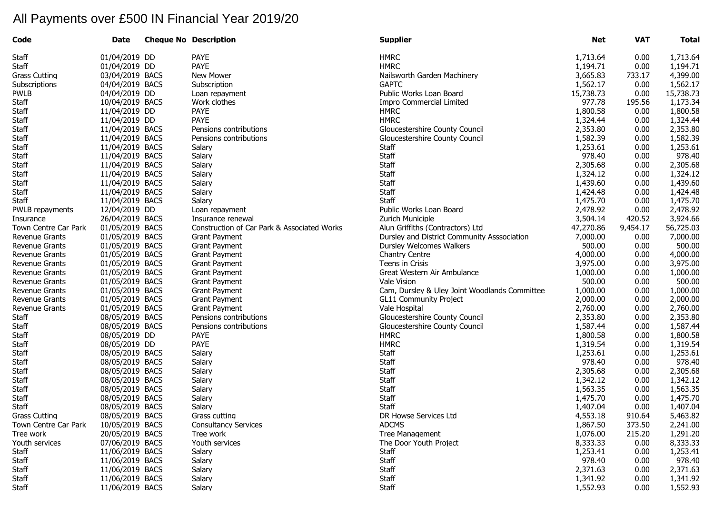## All Payments over £500 IN Financial Year 2019/20

| Code                  | <b>Date</b>     | <b>Cheque No Description</b>                | <b>Supplier</b>                               | <b>Net</b> | <b>VAT</b> | <b>Total</b> |
|-----------------------|-----------------|---------------------------------------------|-----------------------------------------------|------------|------------|--------------|
| <b>Staff</b>          | 01/04/2019 DD   | <b>PAYE</b>                                 | <b>HMRC</b>                                   | 1,713.64   | 0.00       | 1,713.64     |
| <b>Staff</b>          | 01/04/2019 DD   | <b>PAYE</b>                                 | <b>HMRC</b>                                   | 1,194.71   | 0.00       | 1,194.71     |
| <b>Grass Cutting</b>  | 03/04/2019 BACS | New Mower                                   | Nailsworth Garden Machinery                   | 3,665.83   | 733.17     | 4,399.00     |
| Subscriptions         | 04/04/2019 BACS | Subscription                                | <b>GAPTC</b>                                  | 1,562.17   | 0.00       | 1,562.17     |
| <b>PWLB</b>           | 04/04/2019 DD   | Loan repayment                              | Public Works Loan Board                       | 15,738.73  | 0.00       | 15,738.73    |
| <b>Staff</b>          | 10/04/2019 BACS | Work clothes                                | <b>Impro Commercial Limited</b>               | 977.78     | 195.56     | 1,173.34     |
| <b>Staff</b>          | 11/04/2019 DD   | <b>PAYE</b>                                 | <b>HMRC</b>                                   | 1,800.58   | 0.00       | 1,800.58     |
| <b>Staff</b>          | 11/04/2019 DD   | <b>PAYE</b>                                 | <b>HMRC</b>                                   | 1,324.44   | 0.00       | 1,324.44     |
| <b>Staff</b>          | 11/04/2019 BACS | Pensions contributions                      | Gloucestershire County Council                | 2,353.80   | 0.00       | 2,353.80     |
| <b>Staff</b>          | 11/04/2019 BACS | Pensions contributions                      | Gloucestershire County Council                | 1,582.39   | 0.00       | 1,582.39     |
| <b>Staff</b>          | 11/04/2019 BACS | Salary                                      | Staff                                         | 1,253.61   | 0.00       | 1,253.61     |
| <b>Staff</b>          | 11/04/2019 BACS | Salary                                      | <b>Staff</b>                                  | 978.40     | 0.00       | 978.40       |
| <b>Staff</b>          | 11/04/2019 BACS | Salary                                      | <b>Staff</b>                                  | 2,305.68   | 0.00       | 2,305.68     |
| <b>Staff</b>          | 11/04/2019 BACS | Salary                                      | Staff                                         | 1,324.12   | 0.00       | 1,324.12     |
| <b>Staff</b>          | 11/04/2019 BACS | Salary                                      | <b>Staff</b>                                  | 1,439.60   | 0.00       | 1,439.60     |
| <b>Staff</b>          | 11/04/2019 BACS | Salary                                      | <b>Staff</b>                                  | 1,424.48   | 0.00       | 1,424.48     |
| <b>Staff</b>          | 11/04/2019 BACS | Salary                                      | <b>Staff</b>                                  | 1,475.70   | 0.00       | 1,475.70     |
| PWLB repayments       | 12/04/2019 DD   |                                             | Public Works Loan Board                       | 2,478.92   | 0.00       | 2,478.92     |
| Insurance             | 26/04/2019 BACS | Loan repayment<br>Insurance renewal         | Zurich Municiple                              | 3,504.14   | 420.52     | 3,924.66     |
|                       | 01/05/2019 BACS | Construction of Car Park & Associated Works | Alun Griffiths (Contractors) Ltd              | 47,270.86  |            | 56,725.03    |
| Town Centre Car Park  |                 |                                             |                                               | 7,000.00   | 9,454.17   | 7,000.00     |
| Revenue Grants        | 01/05/2019 BACS | <b>Grant Payment</b>                        | Dursley and District Community Asssociation   |            | 0.00       |              |
| <b>Revenue Grants</b> | 01/05/2019 BACS | <b>Grant Payment</b>                        | Dursley Welcomes Walkers                      | 500.00     | 0.00       | 500.00       |
| <b>Revenue Grants</b> | 01/05/2019 BACS | <b>Grant Payment</b>                        | Chantry Centre                                | 4,000.00   | 0.00       | 4,000.00     |
| Revenue Grants        | 01/05/2019 BACS | <b>Grant Payment</b>                        | Teens in Crisis                               | 3,975.00   | 0.00       | 3,975.00     |
| Revenue Grants        | 01/05/2019 BACS | <b>Grant Payment</b>                        | Great Western Air Ambulance                   | 1,000.00   | 0.00       | 1,000.00     |
| <b>Revenue Grants</b> | 01/05/2019 BACS | <b>Grant Payment</b>                        | Vale Vision                                   | 500.00     | 0.00       | 500.00       |
| <b>Revenue Grants</b> | 01/05/2019 BACS | <b>Grant Payment</b>                        | Cam, Dursley & Uley Joint Woodlands Committee | 1,000.00   | 0.00       | 1,000.00     |
| Revenue Grants        | 01/05/2019 BACS | <b>Grant Payment</b>                        | <b>GL11 Community Project</b>                 | 2,000.00   | 0.00       | 2,000.00     |
| Revenue Grants        | 01/05/2019 BACS | <b>Grant Payment</b>                        | Vale Hospital                                 | 2,760.00   | 0.00       | 2,760.00     |
| <b>Staff</b>          | 08/05/2019 BACS | Pensions contributions                      | Gloucestershire County Council                | 2,353.80   | 0.00       | 2,353.80     |
| <b>Staff</b>          | 08/05/2019 BACS | Pensions contributions                      | Gloucestershire County Council                | 1,587.44   | 0.00       | 1,587.44     |
| <b>Staff</b>          | 08/05/2019 DD   | <b>PAYE</b>                                 | <b>HMRC</b>                                   | 1,800.58   | 0.00       | 1,800.58     |
| <b>Staff</b>          | 08/05/2019 DD   | <b>PAYE</b>                                 | <b>HMRC</b>                                   | 1,319.54   | 0.00       | 1,319.54     |
| <b>Staff</b>          | 08/05/2019 BACS | Salary                                      | <b>Staff</b>                                  | 1,253.61   | 0.00       | 1,253.61     |
| <b>Staff</b>          | 08/05/2019 BACS | Salary                                      | Staff                                         | 978.40     | 0.00       | 978.40       |
| <b>Staff</b>          | 08/05/2019 BACS | Salary                                      | <b>Staff</b>                                  | 2,305.68   | 0.00       | 2,305.68     |
| <b>Staff</b>          | 08/05/2019 BACS | Salary                                      | <b>Staff</b>                                  | 1,342.12   | 0.00       | 1,342.12     |
| <b>Staff</b>          | 08/05/2019 BACS | Salary                                      | <b>Staff</b>                                  | 1,563.35   | 0.00       | 1,563.35     |
| <b>Staff</b>          | 08/05/2019 BACS | Salary                                      | <b>Staff</b>                                  | 1,475.70   | 0.00       | 1,475.70     |
| <b>Staff</b>          | 08/05/2019 BACS | Salary                                      | <b>Staff</b>                                  | 1,407.04   | 0.00       | 1,407.04     |
| <b>Grass Cutting</b>  | 08/05/2019 BACS | Grass cutting                               | DR Howse Services Ltd                         | 4,553.18   | 910.64     | 5,463.82     |
| Town Centre Car Park  | 10/05/2019 BACS | <b>Consultancy Services</b>                 | <b>ADCMS</b>                                  | 1,867.50   | 373.50     | 2,241.00     |
| Tree work             | 20/05/2019 BACS | Tree work                                   | <b>Tree Management</b>                        | 1,076.00   | 215.20     | 1,291.20     |
| Youth services        | 07/06/2019 BACS | Youth services                              | The Door Youth Project                        | 8,333.33   | 0.00       | 8,333.33     |
| Staff                 | 11/06/2019 BACS | Salary                                      | Staff                                         | 1,253.41   | 0.00       | 1,253.41     |
| <b>Staff</b>          | 11/06/2019 BACS | Salary                                      | Staff                                         | 978.40     | 0.00       | 978.40       |
| <b>Staff</b>          | 11/06/2019 BACS | Salary                                      | Staff                                         | 2,371.63   | 0.00       | 2,371.63     |
| <b>Staff</b>          | 11/06/2019 BACS | Salary                                      | Staff                                         | 1,341.92   | 0.00       | 1,341.92     |
| Staff                 | 11/06/2019 BACS | Salary                                      | Staff                                         | 1,552.93   | 0.00       | 1,552.93     |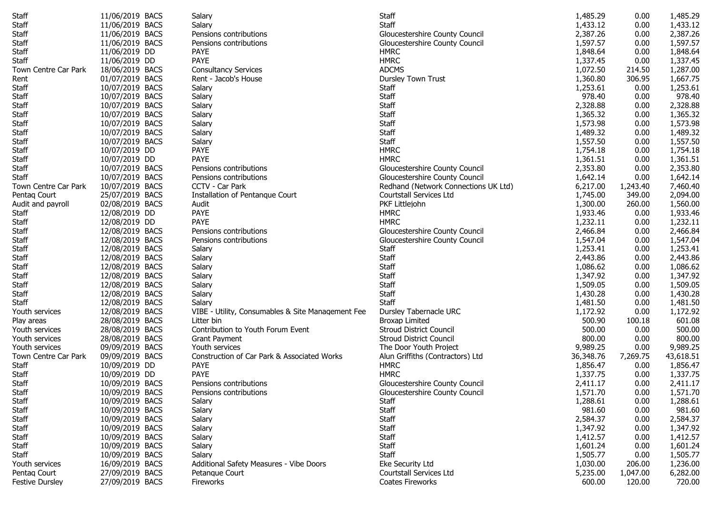| <b>Staff</b>           | 11/06/2019 BACS | Salary                                            | Staff                                | 1,485.29  | 0.00     | 1,485.29  |
|------------------------|-----------------|---------------------------------------------------|--------------------------------------|-----------|----------|-----------|
| <b>Staff</b>           | 11/06/2019 BACS | Salary                                            | <b>Staff</b>                         | 1,433.12  | 0.00     | 1,433.12  |
| <b>Staff</b>           | 11/06/2019 BACS | Pensions contributions                            | Gloucestershire County Council       | 2,387.26  | 0.00     | 2,387.26  |
| <b>Staff</b>           | 11/06/2019 BACS | Pensions contributions                            | Gloucestershire County Council       | 1,597.57  | 0.00     | 1,597.57  |
| <b>Staff</b>           | 11/06/2019 DD   | <b>PAYE</b>                                       | <b>HMRC</b>                          | 1,848.64  | 0.00     | 1,848.64  |
| <b>Staff</b>           | 11/06/2019 DD   | <b>PAYE</b>                                       | <b>HMRC</b>                          | 1,337.45  | 0.00     | 1,337.45  |
| Town Centre Car Park   | 18/06/2019 BACS | <b>Consultancy Services</b>                       | <b>ADCMS</b>                         | 1,072.50  | 214.50   | 1,287.00  |
| Rent                   | 01/07/2019 BACS | Rent - Jacob's House                              | Dursley Town Trust                   | 1,360.80  | 306.95   | 1,667.75  |
| <b>Staff</b>           | 10/07/2019 BACS | Salary                                            | Staff                                | 1,253.61  | 0.00     | 1,253.61  |
| <b>Staff</b>           | 10/07/2019 BACS | Salary                                            | <b>Staff</b>                         | 978.40    | 0.00     | 978.40    |
| <b>Staff</b>           | 10/07/2019 BACS | Salary                                            | <b>Staff</b>                         | 2,328.88  | 0.00     | 2,328.88  |
| <b>Staff</b>           | 10/07/2019 BACS | Salary                                            | Staff                                | 1,365.32  | 0.00     | 1,365.32  |
| <b>Staff</b>           | 10/07/2019 BACS | Salary                                            | Staff                                | 1,573.98  | 0.00     | 1,573.98  |
| <b>Staff</b>           | 10/07/2019 BACS | Salary                                            | <b>Staff</b>                         | 1,489.32  | 0.00     | 1,489.32  |
| <b>Staff</b>           | 10/07/2019 BACS | Salary                                            | <b>Staff</b>                         | 1,557.50  | 0.00     | 1,557.50  |
| <b>Staff</b>           | 10/07/2019 DD   | PAYE                                              | <b>HMRC</b>                          | 1,754.18  | 0.00     | 1,754.18  |
| <b>Staff</b>           | 10/07/2019 DD   | <b>PAYE</b>                                       | <b>HMRC</b>                          | 1,361.51  | 0.00     | 1,361.51  |
| <b>Staff</b>           | 10/07/2019 BACS | Pensions contributions                            | Gloucestershire County Council       | 2,353.80  | 0.00     | 2,353.80  |
| Staff                  | 10/07/2019 BACS | Pensions contributions                            | Gloucestershire County Council       | 1,642.14  | 0.00     | 1,642.14  |
| Town Centre Car Park   | 10/07/2019 BACS | CCTV - Car Park                                   | Redhand (Network Connections UK Ltd) | 6,217.00  | 1,243.40 | 7,460.40  |
| Pentag Court           | 25/07/2019 BACS | Installation of Pentanque Court                   | Courtstall Services Ltd              | 1,745.00  | 349.00   | 2,094.00  |
|                        | 02/08/2019 BACS | Audit                                             | PKF Littlejohn                       | 1,300.00  | 260.00   | 1,560.00  |
| Audit and payroll      | 12/08/2019 DD   | PAYE                                              | <b>HMRC</b>                          | 1,933.46  | 0.00     | 1,933.46  |
| Staff                  |                 | PAYE                                              | <b>HMRC</b>                          | 1,232.11  |          |           |
| <b>Staff</b>           | 12/08/2019 DD   |                                                   |                                      |           | 0.00     | 1,232.11  |
| <b>Staff</b>           | 12/08/2019 BACS | Pensions contributions                            | Gloucestershire County Council       | 2,466.84  | 0.00     | 2,466.84  |
| <b>Staff</b>           | 12/08/2019 BACS | Pensions contributions                            | Gloucestershire County Council       | 1,547.04  | 0.00     | 1,547.04  |
| <b>Staff</b>           | 12/08/2019 BACS | Salary                                            | <b>Staff</b>                         | 1,253.41  | 0.00     | 1,253.41  |
| <b>Staff</b>           | 12/08/2019 BACS | Salary                                            | <b>Staff</b>                         | 2,443.86  | 0.00     | 2,443.86  |
| <b>Staff</b>           | 12/08/2019 BACS | Salary                                            | Staff                                | 1,086.62  | 0.00     | 1,086.62  |
| <b>Staff</b>           | 12/08/2019 BACS | Salary                                            | <b>Staff</b>                         | 1,347.92  | 0.00     | 1,347.92  |
| <b>Staff</b>           | 12/08/2019 BACS | Salary                                            | <b>Staff</b>                         | 1,509.05  | 0.00     | 1,509.05  |
| <b>Staff</b>           | 12/08/2019 BACS | Salary                                            | <b>Staff</b>                         | 1,430.28  | 0.00     | 1,430.28  |
| <b>Staff</b>           | 12/08/2019 BACS | Salary                                            | Staff                                | 1,481.50  | 0.00     | 1,481.50  |
| Youth services         | 12/08/2019 BACS | VIBE - Utility, Consumables & Site Management Fee | Dursley Tabernacle URC               | 1,172.92  | 0.00     | 1,172.92  |
| Play areas             | 28/08/2019 BACS | Litter bin                                        | <b>Broxap Limited</b>                | 500.90    | 100.18   | 601.08    |
| Youth services         | 28/08/2019 BACS | Contribution to Youth Forum Event                 | <b>Stroud District Council</b>       | 500.00    | 0.00     | 500.00    |
| Youth services         | 28/08/2019 BACS | <b>Grant Payment</b>                              | <b>Stroud District Council</b>       | 800.00    | 0.00     | 800.00    |
| Youth services         | 09/09/2019 BACS | Youth services                                    | The Door Youth Project               | 9,989.25  | 0.00     | 9,989.25  |
| Town Centre Car Park   | 09/09/2019 BACS | Construction of Car Park & Associated Works       | Alun Griffiths (Contractors) Ltd     | 36,348.76 | 7,269.75 | 43,618.51 |
| Staff                  | 10/09/2019 DD   | PAYE                                              | <b>HMRC</b>                          | 1,856.47  | 0.00     | 1,856.47  |
| <b>Staff</b>           | 10/09/2019 DD   | <b>PAYE</b>                                       | <b>HMRC</b>                          | 1,337.75  | 0.00     | 1,337.75  |
| <b>Staff</b>           | 10/09/2019 BACS | Pensions contributions                            | Gloucestershire County Council       | 2,411.17  | 0.00     | 2,411.17  |
| <b>Staff</b>           | 10/09/2019 BACS | Pensions contributions                            | Gloucestershire County Council       | 1,571.70  | 0.00     | 1,571.70  |
| <b>Staff</b>           | 10/09/2019 BACS | Salary                                            | Staff                                | 1,288.61  | 0.00     | 1,288.61  |
| <b>Staff</b>           | 10/09/2019 BACS | Salary                                            | <b>Staff</b>                         | 981.60    | 0.00     | 981.60    |
| Staff                  | 10/09/2019 BACS | Salary                                            | Staff                                | 2,584.37  | 0.00     | 2,584.37  |
| <b>Staff</b>           | 10/09/2019 BACS | Salary                                            | <b>Staff</b>                         | 1,347.92  | 0.00     | 1,347.92  |
| <b>Staff</b>           | 10/09/2019 BACS | Salary                                            | <b>Staff</b>                         | 1,412.57  | 0.00     | 1,412.57  |
| <b>Staff</b>           | 10/09/2019 BACS | Salary                                            | <b>Staff</b>                         | 1,601.24  | 0.00     | 1,601.24  |
| Staff                  | 10/09/2019 BACS | Salary                                            | Staff                                | 1,505.77  | 0.00     | 1,505.77  |
| Youth services         | 16/09/2019 BACS | Additional Safety Measures - Vibe Doors           | Eke Security Ltd                     | 1,030.00  | 206.00   | 1,236.00  |
| Pentag Court           | 27/09/2019 BACS | Petanque Court                                    | Courtstall Services Ltd              | 5,235.00  | 1,047.00 | 6,282.00  |
| <b>Festive Dursley</b> | 27/09/2019 BACS | Fireworks                                         | <b>Coates Fireworks</b>              | 600.00    | 120.00   | 720.00    |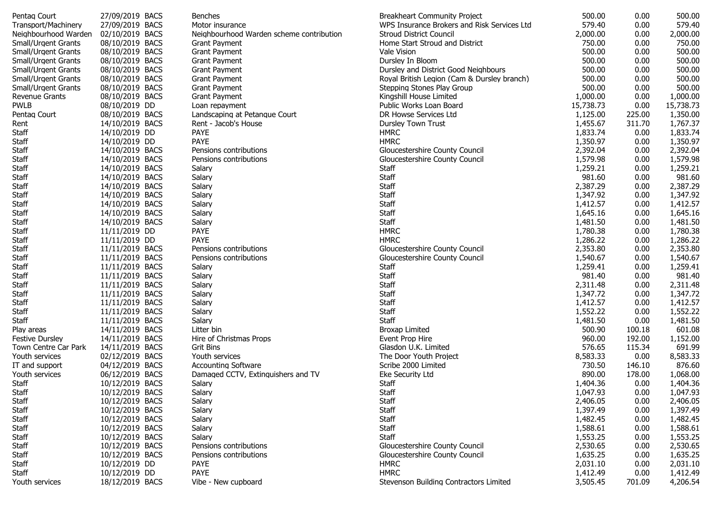| Pentag Court           | 27/09/2019 BACS | <b>Benches</b>                           | <b>Breakheart Community Project</b>         | 500.00    | 0.00   | 500.00    |
|------------------------|-----------------|------------------------------------------|---------------------------------------------|-----------|--------|-----------|
| Transport/Machinery    | 27/09/2019 BACS | Motor insurance                          | WPS Insurance Brokers and Risk Services Ltd | 579.40    | 0.00   | 579.40    |
| Neighbourhood Warden   | 02/10/2019 BACS | Neighbourhood Warden scheme contribution | <b>Stroud District Council</b>              | 2,000.00  | 0.00   | 2,000.00  |
| Small/Urgent Grants    | 08/10/2019 BACS | <b>Grant Payment</b>                     | Home Start Stroud and District              | 750.00    | 0.00   | 750.00    |
| Small/Urgent Grants    | 08/10/2019 BACS | <b>Grant Payment</b>                     | Vale Vision                                 | 500.00    | 0.00   | 500.00    |
| Small/Urgent Grants    | 08/10/2019 BACS | <b>Grant Payment</b>                     | Dursley In Bloom                            | 500.00    | 0.00   | 500.00    |
| Small/Urgent Grants    | 08/10/2019 BACS | <b>Grant Payment</b>                     | Dursley and District Good Neighbours        | 500.00    | 0.00   | 500.00    |
| Small/Urgent Grants    | 08/10/2019 BACS | <b>Grant Payment</b>                     | Royal British Legion (Cam & Dursley branch) | 500.00    | 0.00   | 500.00    |
| Small/Urgent Grants    | 08/10/2019 BACS | <b>Grant Payment</b>                     | Stepping Stones Play Group                  | 500.00    | 0.00   | 500.00    |
| <b>Revenue Grants</b>  | 08/10/2019 BACS | <b>Grant Payment</b>                     | Kingshill House Limited                     | 1,000.00  | 0.00   | 1,000.00  |
| <b>PWLB</b>            | 08/10/2019 DD   | Loan repayment                           | Public Works Loan Board                     | 15,738.73 | 0.00   | 15,738.73 |
| Pentag Court           | 08/10/2019 BACS | Landscaping at Petanque Court            | DR Howse Services Ltd                       | 1,125.00  | 225.00 | 1,350.00  |
| Rent                   | 14/10/2019 BACS | Rent - Jacob's House                     | <b>Dursley Town Trust</b>                   | 1,455.67  | 311.70 | 1,767.37  |
| Staff                  | 14/10/2019 DD   | PAYE                                     | <b>HMRC</b>                                 | 1,833.74  | 0.00   | 1,833.74  |
| Staff                  | 14/10/2019 DD   | <b>PAYE</b>                              | <b>HMRC</b>                                 | 1,350.97  | 0.00   | 1,350.97  |
| Staff                  | 14/10/2019 BACS |                                          |                                             | 2,392.04  |        | 2,392.04  |
|                        |                 | Pensions contributions                   | Gloucestershire County Council              |           | 0.00   |           |
| Staff                  | 14/10/2019 BACS | Pensions contributions                   | Gloucestershire County Council              | 1,579.98  | 0.00   | 1,579.98  |
| Staff                  | 14/10/2019 BACS | Salary                                   | Staff                                       | 1,259.21  | 0.00   | 1,259.21  |
| Staff                  | 14/10/2019 BACS | Salary                                   | Staff                                       | 981.60    | 0.00   | 981.60    |
| Staff                  | 14/10/2019 BACS | Salary                                   | Staff                                       | 2,387.29  | 0.00   | 2,387.29  |
| Staff                  | 14/10/2019 BACS | Salary                                   | Staff                                       | 1,347.92  | 0.00   | 1,347.92  |
| Staff                  | 14/10/2019 BACS | Salary                                   | Staff                                       | 1,412.57  | 0.00   | 1,412.57  |
| Staff                  | 14/10/2019 BACS | Salary                                   | Staff                                       | 1,645.16  | 0.00   | 1,645.16  |
| Staff                  | 14/10/2019 BACS | Salary                                   | Staff                                       | 1,481.50  | 0.00   | 1,481.50  |
| Staff                  | 11/11/2019 DD   | <b>PAYE</b>                              | <b>HMRC</b>                                 | 1,780.38  | 0.00   | 1,780.38  |
| Staff                  | 11/11/2019 DD   | PAYE                                     | <b>HMRC</b>                                 | 1,286.22  | 0.00   | 1,286.22  |
| Staff                  | 11/11/2019 BACS | Pensions contributions                   | Gloucestershire County Council              | 2,353.80  | 0.00   | 2,353.80  |
| Staff                  | 11/11/2019 BACS | Pensions contributions                   | Gloucestershire County Council              | 1,540.67  | 0.00   | 1,540.67  |
| Staff                  | 11/11/2019 BACS | Salary                                   | Staff                                       | 1,259.41  | 0.00   | 1,259.41  |
| Staff                  | 11/11/2019 BACS | Salary                                   | Staff                                       | 981.40    | 0.00   | 981.40    |
| Staff                  | 11/11/2019 BACS | Salary                                   | Staff                                       | 2,311.48  | 0.00   | 2,311.48  |
| Staff                  | 11/11/2019 BACS | Salary                                   | Staff                                       | 1,347.72  | 0.00   | 1,347.72  |
| Staff                  | 11/11/2019 BACS | Salary                                   | Staff                                       | 1,412.57  | 0.00   | 1,412.57  |
| Staff                  | 11/11/2019 BACS | Salary                                   | Staff                                       | 1,552.22  | 0.00   | 1,552.22  |
| Staff                  | 11/11/2019 BACS | Salary                                   | Staff                                       | 1,481.50  | 0.00   | 1,481.50  |
| Play areas             | 14/11/2019 BACS | Litter bin                               | <b>Broxap Limited</b>                       | 500.90    | 100.18 | 601.08    |
| <b>Festive Dursley</b> | 14/11/2019 BACS | Hire of Christmas Props                  | Event Prop Hire                             | 960.00    | 192.00 | 1,152.00  |
| Town Centre Car Park   | 14/11/2019 BACS | <b>Grit Bins</b>                         | Glasdon U.K. Limited                        | 576.65    | 115.34 | 691.99    |
| Youth services         | 02/12/2019 BACS | Youth services                           | The Door Youth Project                      | 8,583.33  | 0.00   | 8,583.33  |
| IT and support         | 04/12/2019 BACS | <b>Accounting Software</b>               | Scribe 2000 Limited                         | 730.50    | 146.10 | 876.60    |
| Youth services         | 06/12/2019 BACS | Damaged CCTV, Extinguishers and TV       | Eke Security Ltd                            | 890.00    | 178.00 | 1,068.00  |
| Staff                  | 10/12/2019 BACS | Salary                                   | Staff                                       | 1,404.36  | 0.00   | 1,404.36  |
| Staff                  | 10/12/2019 BACS | Salary                                   | Staff                                       | 1,047.93  | 0.00   | 1,047.93  |
| Staff                  | 10/12/2019 BACS |                                          | Staff                                       | 2,406.05  |        |           |
|                        | 10/12/2019 BACS | Salary                                   |                                             | 1,397.49  | 0.00   | 2,406.05  |
| Staff                  |                 | Salary                                   | Staff                                       |           | 0.00   | 1,397.49  |
| <b>Staff</b>           | 10/12/2019 BACS | Salary                                   | Staff                                       | 1,482.45  | 0.00   | 1,482.45  |
| Staff                  | 10/12/2019 BACS | Salary                                   | Staff                                       | 1,588.61  | 0.00   | 1,588.61  |
| Staff                  | 10/12/2019 BACS | Salary                                   | Staff                                       | 1,553.25  | 0.00   | 1,553.25  |
| Staff                  | 10/12/2019 BACS | Pensions contributions                   | Gloucestershire County Council              | 2,530.65  | 0.00   | 2,530.65  |
| Staff                  | 10/12/2019 BACS | Pensions contributions                   | Gloucestershire County Council              | 1,635.25  | 0.00   | 1,635.25  |
| Staff                  | 10/12/2019 DD   | PAYE                                     | <b>HMRC</b>                                 | 2,031.10  | 0.00   | 2,031.10  |
| Staff                  | 10/12/2019 DD   | <b>PAYE</b>                              | <b>HMRC</b>                                 | 1,412.49  | 0.00   | 1,412.49  |
| Youth services         | 18/12/2019 BACS | Vibe - New cupboard                      | Stevenson Building Contractors Limited      | 3,505.45  | 701.09 | 4,206.54  |